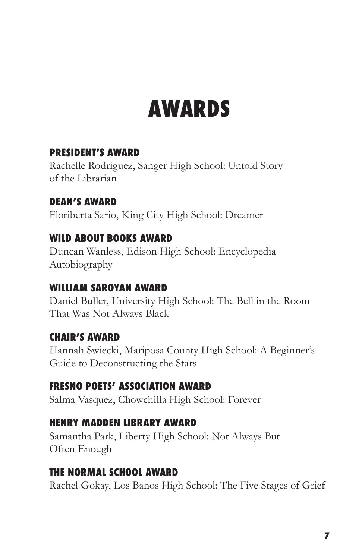# **AWARDS**

### **PRESIDENT'S AWARD**

Rachelle Rodriguez, Sanger High School: Untold Story of the Librarian

## **DEAN'S AWARD**

Floriberta Sario, King City High School: Dreamer

### **WILD ABOUT BOOKS AWARD**

Duncan Wanless, Edison High School: Encyclopedia Autobiography

### **WILLIAM SAROYAN AWARD**

Daniel Buller, University High School: The Bell in the Room That Was Not Always Black

### **CHAIR'S AWARD**

Hannah Swiecki, Mariposa County High School: A Beginner's Guide to Deconstructing the Stars

### **FRESNO POETS' ASSOCIATION AWARD**

Salma Vasquez, Chowchilla High School: Forever

### **HENRY MADDEN LIBRARY AWARD**

Samantha Park, Liberty High School: Not Always But Often Enough

#### **THE NORMAL SCHOOL AWARD**

Rachel Gokay, Los Banos High School: The Five Stages of Grief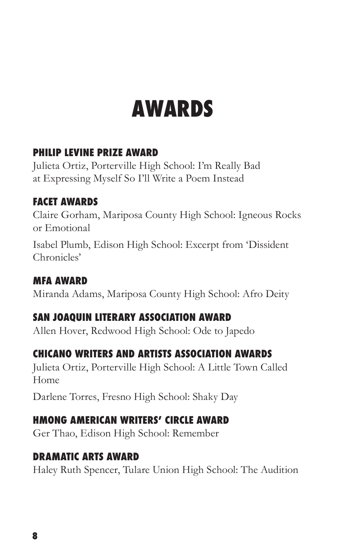# **AWARDS**

## **PHILIP LEVINE PRIZE AWARD**

Julieta Ortiz, Porterville High School: I'm Really Bad at Expressing Myself So I'll Write a Poem Instead

# **FACET AWARDS**

Claire Gorham, Mariposa County High School: Igneous Rocks or Emotional

Isabel Plumb, Edison High School: Excerpt from 'Dissident Chronicles'

# **MFA AWARD**

Miranda Adams, Mariposa County High School: Afro Deity

# **SAN JOAQUIN LITERARY ASSOCIATION AWARD**

Allen Hover, Redwood High School: Ode to Japedo

# **CHICANO WRITERS AND ARTISTS ASSOCIATION AWARDS**

Julieta Ortiz, Porterville High School: A Little Town Called Home

Darlene Torres, Fresno High School: Shaky Day

# **HMONG AMERICAN WRITERS' CIRCLE AWARD**

Ger Thao, Edison High School: Remember

# **DRAMATIC ARTS AWARD**

Haley Ruth Spencer, Tulare Union High School: The Audition